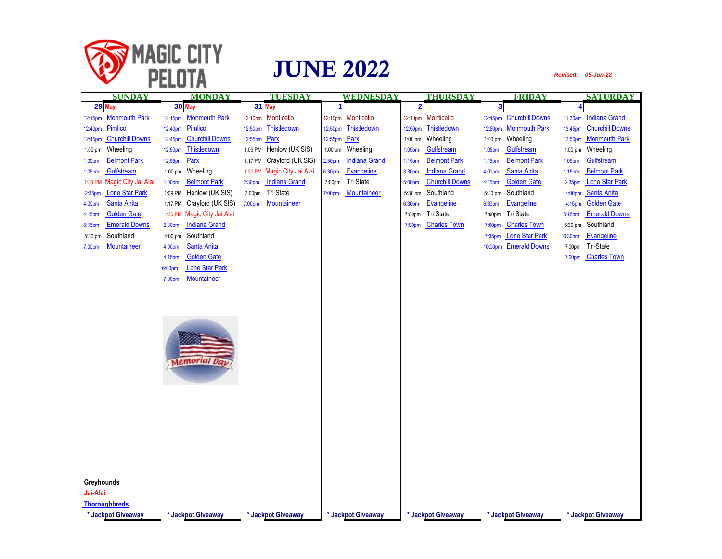

| <b>SUNDAY</b>                               | <b>MONDAY</b>                              | <b>TUESDAY</b>                             | <b>WEDNESDAY</b>                           | <b>THURSDAY</b>                           | <b>FRIDAY</b>                            | <b>SATURDAY</b>                             |
|---------------------------------------------|--------------------------------------------|--------------------------------------------|--------------------------------------------|-------------------------------------------|------------------------------------------|---------------------------------------------|
| 29 May                                      | 30 May                                     | 31 May                                     | 1                                          | $\overline{\mathbf{2}}$                   | $\overline{\mathbf{3}}$                  | $\overline{\mathbf{4}}$                     |
| 12:15pm Monmouth Park                       | <b>Monmouth Park</b><br>12:15pm            | 12:10pm Monticello                         | 12:10pm Monticello                         | 12:10pm Monticello                        | <b>Churchill Downs</b><br>12:45pm        | <b>Indiana Grand</b><br>11:30am             |
| 12:40pm Pimlico                             | Pimlico<br>12:40pm                         | Thistledown<br>12:50pm                     | Thistledown<br>12:50pm                     | Thistledown<br>12:50pm                    | <b>Monmouth Park</b><br>12:50pm          | <b>Churchill Downs</b><br>12:45pm           |
| <b>Churchill Downs</b><br>12:45pm           | <b>Churchill Downs</b><br>12:45pm          | Parx<br>12:55pm                            | 12:55pm Parx                               | Wheeling<br>$1:00$ pm                     | Wheeling<br>1:00 pm                      | <b>Monmouth Park</b><br>12:50pm             |
| Wheeling<br>$1:00$ pm                       | Thistledown<br>12:50pm                     | Henlow (UK SIS)<br>1:09 PM                 | Wheeling<br>$1:00$ pm                      | Gulfstream<br>1:05 <sub>pm</sub>          | Gulfstream<br>1:05 <sub>pm</sub>         | Wheeling<br>$1:00$ pm                       |
| <b>Belmont Park</b><br>1:00 <sub>pm</sub>   | Parx<br>12:55pm                            | Crayford (UK SIS)<br>1:17 PM               | <b>Indiana Grand</b><br>2:30 <sub>pm</sub> | <b>Belmont Park</b><br>1:15 <sub>pm</sub> | <b>Belmont Park</b><br>$1:15$ pm         | Gulfstream<br>1:05 <sub>pm</sub>            |
| Gulfstream<br>1:05 <sub>pm</sub>            | Wheeling<br>$1:00$ pm                      | Magic City Jai Alai<br>1:30 PM             | Evangeline<br>6:30pm                       | <b>Indiana Grand</b><br>3:30pm            | Santa Anita<br>4:00pm                    | <b>Belmont Park</b><br>$1:15$ pm            |
| Magic City Jai Alai<br>1:30 PM              | <b>Belmont Park</b><br>1:00 <sub>pm</sub>  | <b>Indiana Grand</b><br>2:30 <sub>pm</sub> | Tri State<br>7:00pm                        | <b>Churchill Downs</b><br>5:00pm          | <b>Golden Gate</b><br>4:15 <sub>pm</sub> | <b>Lone Star Park</b><br>2:35 <sub>pm</sub> |
| <b>Lone Star Park</b><br>2:35 <sub>pm</sub> | Henlow (UK SIS)<br>1:09 PM                 | Tri State<br>7:00pm                        | Mountaineer<br>7:00pm                      | Southland<br>$5:30$ pm                    | Southland<br>5:30 pm                     | Santa Anita<br>4:00pm                       |
| Santa Anita<br>4:00pm                       | Crayford (UK SIS)<br>1:17 PM               | Mountaineer<br>7:00pm                      |                                            | Evangeline<br>6:30 <sub>pm</sub>          | Evangeline<br>6:30pm                     | <b>Golden Gate</b><br>4:15 <sub>pm</sub>    |
| <b>Golden Gate</b><br>4:15 <sub>pm</sub>    | 1:30 PM Magic City Jai Alai                |                                            |                                            | Tri State<br>7:00pm                       | Tri State<br>7:00pm                      | <b>Emerald Downs</b><br>5:15pm              |
| <b>Emerald Downs</b><br>5:15pm              | <b>Indiana Grand</b><br>2:30 <sub>pm</sub> |                                            |                                            | <b>Charles Town</b><br>7:00 <sub>pm</sub> | <b>Charles Town</b><br>7:00pm            | Southland<br>5:30 pm                        |
| Southland<br>5:30 pm                        | Southland<br>4:00 pm                       |                                            |                                            |                                           | <b>Lone Star Park</b><br>7:35pm          | Evangeline<br>6:30pm                        |
| Mountaineer<br>7:00 <sub>pm</sub>           | Santa Anita<br>4:00pm                      |                                            |                                            |                                           | <b>Emerald Downs</b><br>10:00pm          | Tri-State<br>7:00pm                         |
|                                             | <b>Golden Gate</b><br>4:15pm               |                                            |                                            |                                           |                                          | <b>Charles Town</b><br>7:00 <sub>pm</sub>   |
|                                             | <b>Lone Star Park</b><br>6:00pm            |                                            |                                            |                                           |                                          |                                             |
|                                             | Mountaineer<br>7:00pm                      |                                            |                                            |                                           |                                          |                                             |
|                                             |                                            |                                            |                                            |                                           |                                          |                                             |
|                                             |                                            |                                            |                                            |                                           |                                          |                                             |
|                                             |                                            |                                            |                                            |                                           |                                          |                                             |
|                                             |                                            |                                            |                                            |                                           |                                          |                                             |
|                                             |                                            |                                            |                                            |                                           |                                          |                                             |
|                                             |                                            |                                            |                                            |                                           |                                          |                                             |
|                                             | <b>Memorial Day</b>                        |                                            |                                            |                                           |                                          |                                             |
|                                             |                                            |                                            |                                            |                                           |                                          |                                             |
|                                             |                                            |                                            |                                            |                                           |                                          |                                             |
|                                             |                                            |                                            |                                            |                                           |                                          |                                             |
|                                             |                                            |                                            |                                            |                                           |                                          |                                             |
|                                             |                                            |                                            |                                            |                                           |                                          |                                             |
|                                             |                                            |                                            |                                            |                                           |                                          |                                             |
|                                             |                                            |                                            |                                            |                                           |                                          |                                             |
|                                             |                                            |                                            |                                            |                                           |                                          |                                             |
|                                             |                                            |                                            |                                            |                                           |                                          |                                             |
|                                             |                                            |                                            |                                            |                                           |                                          |                                             |
|                                             |                                            |                                            |                                            |                                           |                                          |                                             |
| Greyhounds                                  |                                            |                                            |                                            |                                           |                                          |                                             |
| Jai-Alai                                    |                                            |                                            |                                            |                                           |                                          |                                             |
| <b>Thoroughbreds</b>                        |                                            |                                            |                                            |                                           |                                          |                                             |
| * Jackpot Giveaway                          | * Jackpot Giveaway                         | * Jackpot Giveaway                         | * Jackpot Giveaway                         | * Jackpot Giveaway                        | * Jackpot Giveaway                       | * Jackpot Giveaway                          |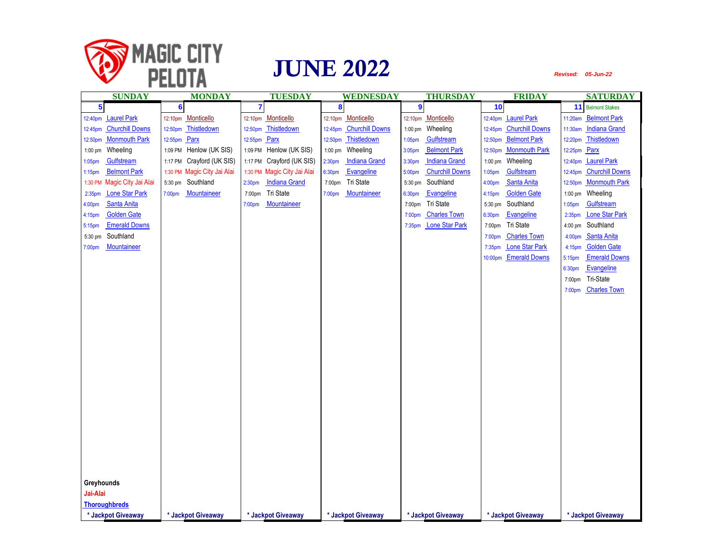

| <b>SUNDAY</b>                               | <b>MONDAY</b>                | <b>TUESDAY</b>                             | WEDNESDAY                                  | <b>THURSDAY</b>                  | <b>FRIDAY</b>                            | <b>SATURDAY</b>                             |
|---------------------------------------------|------------------------------|--------------------------------------------|--------------------------------------------|----------------------------------|------------------------------------------|---------------------------------------------|
| 5                                           | $6\phantom{a}$               | $\overline{\mathbf{r}}$                    | 8                                          | $\overline{9}$                   | 10                                       | 11 Belmont Stakes                           |
| <b>Laurel Park</b><br>12:40pm               | Monticello<br>12:10pm        | 12:10pm Monticello                         | 12:10pm Monticello                         | 12:10pm Monticello               | <b>Laurel Park</b><br>12:40pm            | <b>Belmont Park</b><br>11:20am              |
| <b>Churchill Downs</b><br>12:45pm           | Thistledown<br>12:50pm       | Thistledown<br>12:50 <sub>pm</sub>         | 12:45pm Churchill Downs                    | 1:00 pm Wheeling                 | <b>Churchill Downs</b><br>12:45pm        | 11:30am Indiana Grand                       |
| <b>Monmouth Park</b><br>12:50pm             | 12:55pm Parx                 | 12:55pm Parx                               | 12:50pm Thistledown                        | Gulfstream<br>1:05 <sub>pm</sub> | <b>Belmont Park</b><br>12:50pm           | 12:20pm Thistledown                         |
| Wheeling<br>1:00 pm                         | Henlow (UK SIS)<br>1:09 PM   | Henlow (UK SIS)<br>1:09 PM                 | 1:00 pm Wheeling                           | <b>Belmont Park</b><br>3:05pm    | <b>Monmouth Park</b><br>12:50pm          | 12:25pm Parx                                |
| Gulfstream<br>1:05 <sub>pm</sub>            | Crayford (UK SIS)<br>1:17 PM | Crayford (UK SIS)<br>1:17 PM               | <b>Indiana Grand</b><br>2:30 <sub>pm</sub> | <b>Indiana Grand</b><br>3:30pm   | Wheeling<br>$1:00$ pm                    | <b>Laurel Park</b><br>12:40pm               |
| <b>Belmont Park</b><br>1:15 <sub>pm</sub>   | 1:30 PM Magic City Jai Alai  | Magic City Jai Alai<br>1:30 PM             | Evangeline<br>6:30pm                       | <b>Churchill Downs</b><br>5:00pm | Gulfstream<br>1:05pm                     | 12:45pm Churchill Downs                     |
| Magic City Jai Alai<br>1:30 PM              | Southland<br>5:30 pm         | <b>Indiana Grand</b><br>2:30 <sub>pm</sub> | Tri State<br>7:00pm                        | Southland<br>5:30 pm             | Santa Anita<br>4:00pm                    | 12:50pm Monmouth Park                       |
| <b>Lone Star Park</b><br>2:35 <sub>pm</sub> | Mountaineer<br>7:00pm        | Tri State<br>7:00pm                        | Mountaineer<br>7:00pm                      | Evangeline<br>6:30pm             | <b>Golden Gate</b><br>4:15 <sub>pm</sub> | Wheeling<br>$1:00$ pm                       |
| Santa Anita<br>4:00pm                       |                              | Mountaineer<br>7:00pm                      |                                            | Tri State<br>7:00pm              | Southland<br>5:30 pm                     | Gulfstream<br>1:05 <sub>pm</sub>            |
| <b>Golden Gate</b><br>4:15pm                |                              |                                            |                                            | <b>Charles Town</b><br>7:00pm    | Evangeline<br>6:30pm                     | <b>Lone Star Park</b><br>2:35 <sub>pm</sub> |
| <b>Emerald Downs</b><br>5:15 <sub>pm</sub>  |                              |                                            |                                            | <b>Lone Star Park</b><br>7:35pm  | Tri State<br>7:00pm                      | 4:00 pm Southland                           |
| Southland<br>5:30 pm                        |                              |                                            |                                            |                                  | <b>Charles Town</b><br>7:00pm            | Santa Anita<br>4:00 <sub>pm</sub>           |
| Mountaineer<br>7:00 <sub>pm</sub>           |                              |                                            |                                            |                                  | <b>Lone Star Park</b><br>7:35pm          | <b>Golden Gate</b><br>4:15 <sub>pm</sub>    |
|                                             |                              |                                            |                                            |                                  | <b>Emerald Downs</b><br>10:00pm          | <b>Emerald Downs</b><br>5:15 <sub>pm</sub>  |
|                                             |                              |                                            |                                            |                                  |                                          | Evangeline<br>6:30pm                        |
|                                             |                              |                                            |                                            |                                  |                                          | Tri-State<br>7:00pm                         |
|                                             |                              |                                            |                                            |                                  |                                          | <b>Charles Town</b><br>7:00pm               |
|                                             |                              |                                            |                                            |                                  |                                          |                                             |
|                                             |                              |                                            |                                            |                                  |                                          |                                             |
|                                             |                              |                                            |                                            |                                  |                                          |                                             |
|                                             |                              |                                            |                                            |                                  |                                          |                                             |
|                                             |                              |                                            |                                            |                                  |                                          |                                             |
|                                             |                              |                                            |                                            |                                  |                                          |                                             |
|                                             |                              |                                            |                                            |                                  |                                          |                                             |
|                                             |                              |                                            |                                            |                                  |                                          |                                             |
|                                             |                              |                                            |                                            |                                  |                                          |                                             |
|                                             |                              |                                            |                                            |                                  |                                          |                                             |
|                                             |                              |                                            |                                            |                                  |                                          |                                             |
|                                             |                              |                                            |                                            |                                  |                                          |                                             |
|                                             |                              |                                            |                                            |                                  |                                          |                                             |
|                                             |                              |                                            |                                            |                                  |                                          |                                             |
|                                             |                              |                                            |                                            |                                  |                                          |                                             |
|                                             |                              |                                            |                                            |                                  |                                          |                                             |
|                                             |                              |                                            |                                            |                                  |                                          |                                             |
| Greyhounds                                  |                              |                                            |                                            |                                  |                                          |                                             |
| Jai-Alai                                    |                              |                                            |                                            |                                  |                                          |                                             |
| <b>Thoroughbreds</b>                        |                              |                                            |                                            |                                  |                                          |                                             |
| * Jackpot Giveaway                          | * Jackpot Giveaway           | * Jackpot Giveaway                         | * Jackpot Giveaway                         | * Jackpot Giveaway               | * Jackpot Giveaway                       | * Jackpot Giveaway                          |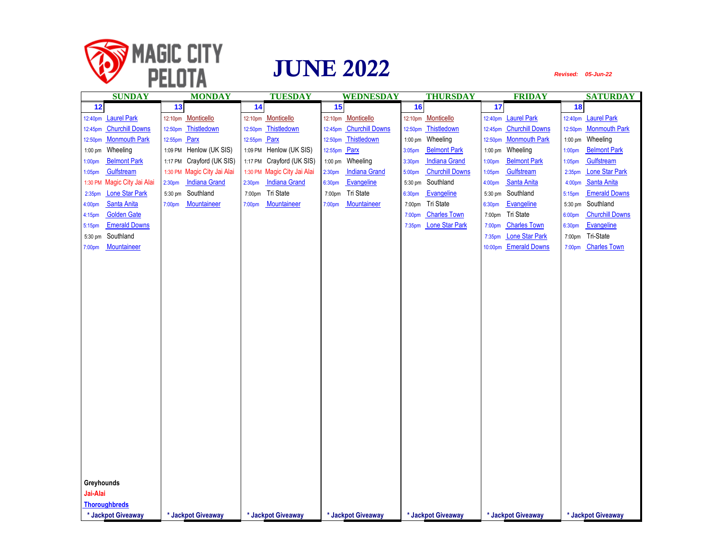

| <b>SUNDAY</b>                               | <b>MONDAY</b>                              | <b>TUESDAY</b>                             | <b>WEDNESDAY</b>                           | <b>THURSDAY</b>                             | <b>FRIDAY</b>                     | <b>SATURDAY</b>                             |
|---------------------------------------------|--------------------------------------------|--------------------------------------------|--------------------------------------------|---------------------------------------------|-----------------------------------|---------------------------------------------|
| 12                                          | 13                                         | 14                                         | 15                                         | 16                                          | 17                                | 18                                          |
| <b>Laurel Park</b><br>12:40pm               | Monticello<br>12:10pm                      | 12:10pm Monticello                         | 12:10pm Monticello                         | 12:10pm Monticello                          | <b>Laurel Park</b><br>12:40pm     | <b>Laurel Park</b><br>12:40pm               |
| 12:45pm Churchill Downs                     | Thistledown<br>12:50pm                     | 12:50pm Thistledown                        | 12:45pm Churchill Downs                    | 12:50pm Thistledown                         | <b>Churchill Downs</b><br>12:45pm | 12:50pm Monmouth Park                       |
| 12:50pm Monmouth Park                       | 12:55pm Parx                               | 12:55pm Parx                               | Thistledown<br>12:50pm                     | 1:00 pm Wheeling                            | <b>Monmouth Park</b><br>12:50pm   | 1:00 pm Wheeling                            |
| Wheeling<br>$1:00$ pm                       | Henlow (UK SIS)<br>1:09 PM                 | Henlow (UK SIS)<br>1:09 PM                 | 12:55pm Parx                               | <b>Belmont Park</b><br>3:05pm               | Wheeling<br>1:00 pm               | <b>Belmont Park</b><br>1:00 <sub>pm</sub>   |
| <b>Belmont Park</b><br>1:00 <sub>pm</sub>   | Crayford (UK SIS)<br>1:17 PM               | 1:17 PM Crayford (UK SIS)                  | Wheeling<br>$1:00$ pm                      | <b>Indiana Grand</b><br>3:30pm              | <b>Belmont Park</b><br>1:00pm     | Gulfstream<br>1:05 <sub>pm</sub>            |
| Gulfstream<br>1:05 <sub>pm</sub>            | Magic City Jai Alai<br>1:30 PM             | 1:30 PM Magic City Jai Alai                | <b>Indiana Grand</b><br>2:30 <sub>pm</sub> | <b>Churchill Downs</b><br>5:00pm            | Gulfstream<br>1:05pm              | <b>Lone Star Park</b><br>2:35 <sub>pm</sub> |
| Magic City Jai Alai<br>1:30 PM              | <b>Indiana Grand</b><br>2:30 <sub>pm</sub> | <b>Indiana Grand</b><br>2:30 <sub>pm</sub> | Evangeline<br>6:30pm                       | Southland<br>5:30 pm                        | Santa Anita<br>4:00pm             | Santa Anita<br>4:00pm                       |
| <b>Lone Star Park</b><br>2:35 <sub>pm</sub> | Southland<br>5:30 pm                       | Tri State<br>7:00pm                        | Tri State<br>7:00pm                        | Evangeline<br>6:30pm                        | Southland<br>5:30 pm              | <b>Emerald Downs</b><br>5:15 <sub>pm</sub>  |
| Santa Anita<br>4:00 <sub>pm</sub>           | Mountaineer<br>7:00pm                      | Mountaineer<br>7:00pm                      | Mountaineer<br>7:00pm                      | Tri State<br>7:00pm                         | Evangeline<br>6:30pm              | Southland<br>5:30 pm                        |
| <b>Golden Gate</b><br>4:15 <sub>pm</sub>    |                                            |                                            |                                            | <b>Charles Town</b><br>7:00pm               | Tri State<br>7:00pm               | <b>Churchill Downs</b><br>6:00pm            |
| <b>Emerald Downs</b><br>5:15pm              |                                            |                                            |                                            | <b>Lone Star Park</b><br>7:35 <sub>pm</sub> | <b>Charles Town</b><br>7:00pm     | Evangeline<br>6:30pm                        |
| Southland<br>5:30 pm                        |                                            |                                            |                                            |                                             | <b>Lone Star Park</b><br>7:35pm   | Tri-State<br>7:00pm                         |
| Mountaineer<br>7:00pm                       |                                            |                                            |                                            |                                             | <b>Emerald Downs</b><br>10:00pm   | <b>Charles Town</b><br>7:00pm               |
|                                             |                                            |                                            |                                            |                                             |                                   |                                             |
|                                             |                                            |                                            |                                            |                                             |                                   |                                             |
|                                             |                                            |                                            |                                            |                                             |                                   |                                             |
|                                             |                                            |                                            |                                            |                                             |                                   |                                             |
|                                             |                                            |                                            |                                            |                                             |                                   |                                             |
|                                             |                                            |                                            |                                            |                                             |                                   |                                             |
|                                             |                                            |                                            |                                            |                                             |                                   |                                             |
|                                             |                                            |                                            |                                            |                                             |                                   |                                             |
|                                             |                                            |                                            |                                            |                                             |                                   |                                             |
|                                             |                                            |                                            |                                            |                                             |                                   |                                             |
|                                             |                                            |                                            |                                            |                                             |                                   |                                             |
|                                             |                                            |                                            |                                            |                                             |                                   |                                             |
|                                             |                                            |                                            |                                            |                                             |                                   |                                             |
|                                             |                                            |                                            |                                            |                                             |                                   |                                             |
|                                             |                                            |                                            |                                            |                                             |                                   |                                             |
|                                             |                                            |                                            |                                            |                                             |                                   |                                             |
|                                             |                                            |                                            |                                            |                                             |                                   |                                             |
|                                             |                                            |                                            |                                            |                                             |                                   |                                             |
|                                             |                                            |                                            |                                            |                                             |                                   |                                             |
|                                             |                                            |                                            |                                            |                                             |                                   |                                             |
| Greyhounds                                  |                                            |                                            |                                            |                                             |                                   |                                             |
| Jai-Alai                                    |                                            |                                            |                                            |                                             |                                   |                                             |
| <b>Thoroughbreds</b>                        |                                            |                                            |                                            |                                             |                                   |                                             |
| * Jackpot Giveaway                          | * Jackpot Giveaway                         | * Jackpot Giveaway                         | * Jackpot Giveaway                         | * Jackpot Giveaway                          | * Jackpot Giveaway                | * Jackpot Giveaway                          |
|                                             |                                            |                                            |                                            |                                             |                                   |                                             |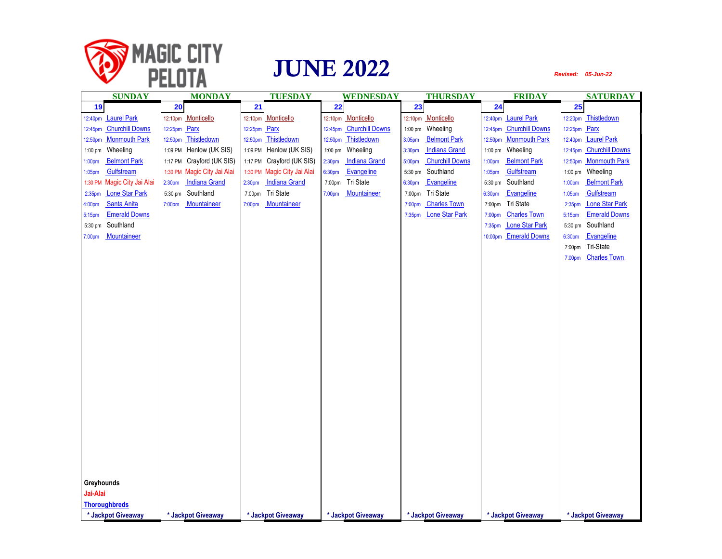

| <b>SUNDAY</b>                               | <b>MONDAY</b>                              | <b>TUESDAY</b>                             | WEDNESDAY                                  | <b>THURSDAY</b>                             | <b>FRIDAY</b>                     | <b>SATURDAY</b>                             |
|---------------------------------------------|--------------------------------------------|--------------------------------------------|--------------------------------------------|---------------------------------------------|-----------------------------------|---------------------------------------------|
| 19                                          | 20                                         | 21                                         | $\overline{22}$                            | 23                                          | 24                                | 25                                          |
| <b>Laurel Park</b><br>12:40pm               | Monticello<br>12:10pm                      | 12:10pm Monticello                         | 12:10pm Monticello                         | Monticello<br>12:10pm                       | <b>Laurel Park</b><br>12:40pm     | Thistledown<br>12:20pm                      |
| <b>Churchill Downs</b><br>12:45pm           | 12:25pm Parx                               | 12:25pm Parx                               | 12:45pm Churchill Downs                    | 1:00 pm Wheeling                            | <b>Churchill Downs</b><br>12:45pm | 12:25pm Parx                                |
| <b>Monmouth Park</b><br>12:50pm             | Thistledown<br>12:50pm                     | 12:50pm Thistledown                        | 12:50pm Thistledown                        | <b>Belmont Park</b><br>3:05pm               | <b>Monmouth Park</b><br>12:50pm   | 12:40pm Laurel Park                         |
| Wheeling<br>$1:00$ pm                       | 1:09 PM Henlow (UK SIS)                    | Henlow (UK SIS)<br>1:09 PM                 | 1:00 pm Wheeling                           | 3:30pm<br><b>Indiana Grand</b>              | Wheeling<br>$1:00$ pm             | 12:45pm Churchill Downs                     |
| <b>Belmont Park</b><br>1:00pm               | Crayford (UK SIS)<br>1:17 PM               | Crayford (UK SIS)<br>1:17 PM               | <b>Indiana Grand</b><br>2:30 <sub>pm</sub> | <b>Churchill Downs</b><br>5:00pm            | <b>Belmont Park</b><br>1:00pm     | <b>Monmouth Park</b><br>12:50pm             |
| Gulfstream<br>1:05 <sub>pm</sub>            | Magic City Jai Alai<br>1:30 PM             | 1:30 PM Magic City Jai Alai                | Evangeline<br>6:30pm                       | Southland<br>5:30 pm                        | Gulfstream<br>1:05pm              | Wheeling<br>$1:00$ pm                       |
| Magic City Jai Alai<br>1:30 PM              | <b>Indiana Grand</b><br>2:30 <sub>pm</sub> | <b>Indiana Grand</b><br>2:30 <sub>pm</sub> | Tri State<br>7:00pm                        | Evangeline<br>6:30pm                        | Southland<br>5:30 pm              | <b>Belmont Park</b><br>1:00 <sub>pm</sub>   |
| <b>Lone Star Park</b><br>2:35 <sub>pm</sub> | Southland<br>5:30 pm                       | Tri State<br>7:00pm                        | Mountaineer<br>7:00pm                      | Tri State<br>7:00pm                         | Evangeline<br>6:30pm              | Gulfstream<br>1:05 <sub>pm</sub>            |
| Santa Anita<br>4:00 <sub>pm</sub>           | Mountaineer<br>7:00 <sub>pm</sub>          | Mountaineer<br>7:00pm                      |                                            | <b>Charles Town</b><br>7:00pm               | Tri State<br>7:00pm               | <b>Lone Star Park</b><br>2:35 <sub>pm</sub> |
| <b>Emerald Downs</b><br>5:15pm              |                                            |                                            |                                            | <b>Lone Star Park</b><br>7:35 <sub>pm</sub> | <b>Charles Town</b><br>7:00pm     | <b>Emerald Downs</b><br>5:15pm              |
| Southland<br>5:30 pm                        |                                            |                                            |                                            |                                             | <b>Lone Star Park</b><br>7:35pm   | 5:30 pm Southland                           |
| Mountaineer<br>7:00pm                       |                                            |                                            |                                            |                                             | <b>Emerald Downs</b><br>10:00pm   | Evangeline<br>6:30pm                        |
|                                             |                                            |                                            |                                            |                                             |                                   | Tri-State<br>7:00pm                         |
|                                             |                                            |                                            |                                            |                                             |                                   | 7:00pm Charles Town                         |
|                                             |                                            |                                            |                                            |                                             |                                   |                                             |
|                                             |                                            |                                            |                                            |                                             |                                   |                                             |
|                                             |                                            |                                            |                                            |                                             |                                   |                                             |
|                                             |                                            |                                            |                                            |                                             |                                   |                                             |
|                                             |                                            |                                            |                                            |                                             |                                   |                                             |
|                                             |                                            |                                            |                                            |                                             |                                   |                                             |
|                                             |                                            |                                            |                                            |                                             |                                   |                                             |
|                                             |                                            |                                            |                                            |                                             |                                   |                                             |
|                                             |                                            |                                            |                                            |                                             |                                   |                                             |
|                                             |                                            |                                            |                                            |                                             |                                   |                                             |
|                                             |                                            |                                            |                                            |                                             |                                   |                                             |
|                                             |                                            |                                            |                                            |                                             |                                   |                                             |
|                                             |                                            |                                            |                                            |                                             |                                   |                                             |
|                                             |                                            |                                            |                                            |                                             |                                   |                                             |
|                                             |                                            |                                            |                                            |                                             |                                   |                                             |
|                                             |                                            |                                            |                                            |                                             |                                   |                                             |
|                                             |                                            |                                            |                                            |                                             |                                   |                                             |
|                                             |                                            |                                            |                                            |                                             |                                   |                                             |
|                                             |                                            |                                            |                                            |                                             |                                   |                                             |
|                                             |                                            |                                            |                                            |                                             |                                   |                                             |
| Greyhounds                                  |                                            |                                            |                                            |                                             |                                   |                                             |
| Jai-Alai                                    |                                            |                                            |                                            |                                             |                                   |                                             |
| <b>Thoroughbreds</b>                        |                                            |                                            |                                            |                                             |                                   |                                             |
| * Jackpot Giveaway                          | * Jackpot Giveaway                         | * Jackpot Giveaway                         | * Jackpot Giveaway                         | * Jackpot Giveaway                          | * Jackpot Giveaway                | * Jackpot Giveaway                          |